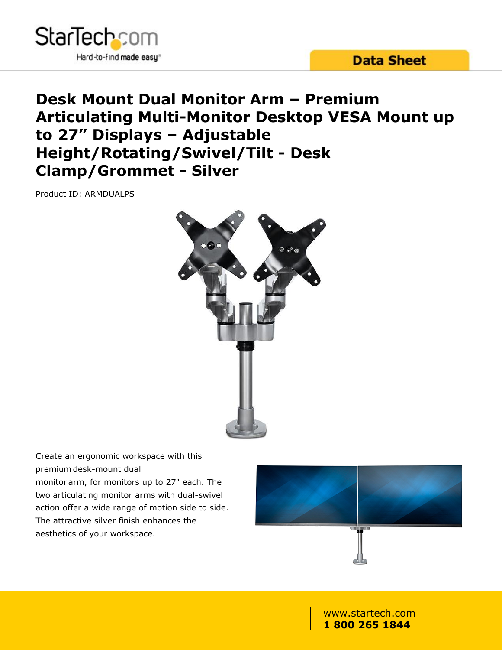



# **Desk Mount Dual Monitor Arm – Premium Articulating Multi-Monitor Desktop VESA Mount up to 27" Displays – Adjustable Height/Rotating/Swivel/Tilt - Desk Clamp/Grommet - Silver**

Product ID: ARMDUALPS



Create an ergonomic workspace with this premium desk-mount dual monitor arm, for monitors up to 27" each. The two articulating monitor arms with dual-swivel action offer a wide range of motion side to side. The attractive silver finish enhances the aesthetics of your workspace.

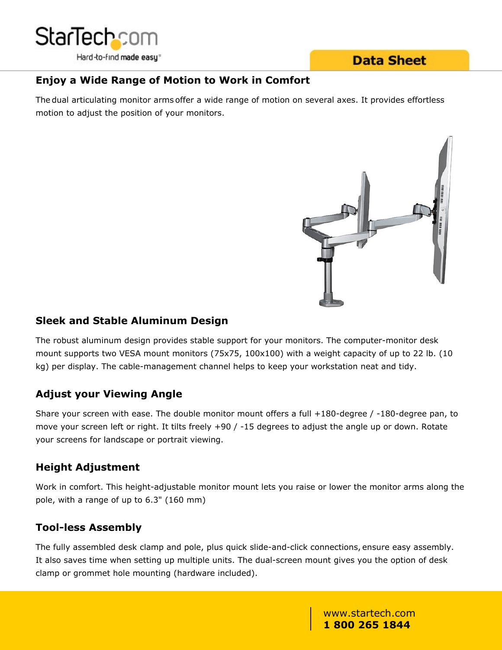

## **Data Sheet**

### **Enjoy a Wide Range of Motion to Work in Comfort**

The dual articulating monitor arms offer a wide range of motion on several axes. It provides effortless motion to adjust the position of your monitors.



#### **Sleek and Stable Aluminum Design**

The robust aluminum design provides stable support for your monitors. The computer-monitor desk mount supports two VESA mount monitors (75x75, 100x100) with a weight capacity of up to 22 lb. (10 kg) per display. The cable-management channel helps to keep your workstation neat and tidy.

## **Adjust your Viewing Angle**

Share your screen with ease. The double monitor mount offers a full +180-degree / -180-degree pan, to move your screen left or right. It tilts freely +90 / -15 degrees to adjust the angle up or down. Rotate your screens for landscape or portrait viewing.

#### **Height Adjustment**

Work in comfort. This height-adjustable monitor mount lets you raise or lower the monitor arms along the pole, with a range of up to 6.3" (160 mm)

## **Tool-less Assembly**

The fully assembled desk clamp and pole, plus quick slide-and-click connections, ensure easy assembly. It also saves time when setting up multiple units. The dual-screen mount gives you the option of desk clamp or grommet hole mounting (hardware included).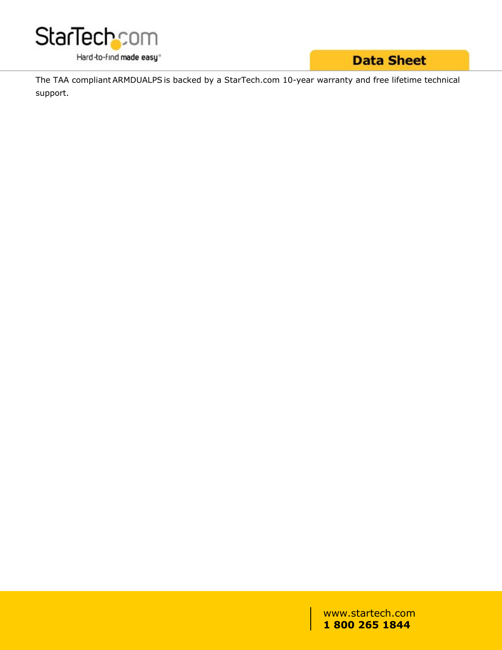

# **Data Sheet**

The TAA compliant ARMDUALPS is backed by a StarTech.com 10-year warranty and free lifetime technical support.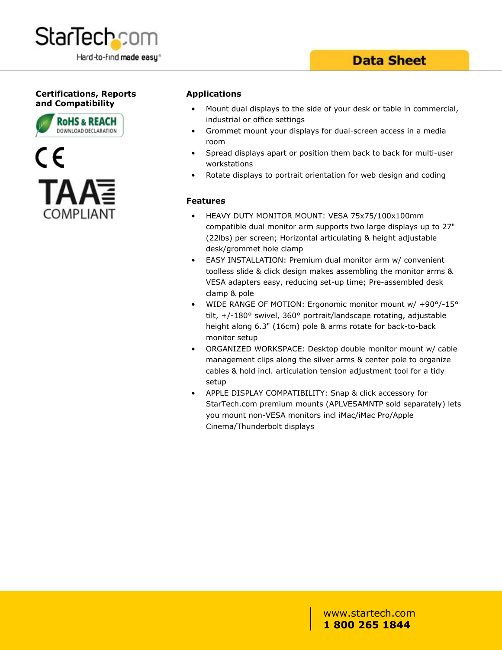

#### **Certifications, Reports and Compatibility**





#### **Applications**

- Mount dual displays to the side of your desk or table in commercial, industrial or office settings
- Grommet mount your displays for dual-screen access in a media room in the state of the state of the state of the state of the state of the state of the state of the state of the state of the state of the state of the state of the state of the state of the state of the state of the st
- Spread displays apart or position them back to back for multi-user workstations
- Rotate displays to portrait orientation for web design and coding

#### **Features**

- HEAVY DUTY MONITOR MOUNT: VESA 75x75/100x100mm compatible dual monitor arm supports two large displays up to 27" (22lbs) per screen; Horizontal articulating & height adjustable desk/grommet hole clamp
- EASY INSTALLATION: Premium dual monitor arm w/ convenient toolless slide & click design makes assembling the monitor arms & VESA adapters easy, reducing set-up time; Pre-assembled desk clamp & pole
- WIDE RANGE OF MOTION: Ergonomic monitor mount w/ +90°/-15° tilt, +/-180° swivel, 360° portrait/landscape rotating, adjustable height along 6.3" (16cm) pole & arms rotate for back-to-back monitor setup
- ORGANIZED WORKSPACE: Desktop double monitor mount w/ cable management clips along the silver arms & center pole to organize cables & hold incl. articulation tension adjustment tool for a tidy setup **setup** and the setup of the setup of the setup of the setup of the setup of the setup of the setup of the set
- APPLE DISPLAY COMPATIBILITY: Snap & click accessory for StarTech.com premium mounts (APLVESAMNTP sold separately) lets you mount non-VESA monitors incl iMac/iMac Pro/Apple Cinema/Thunderbolt displays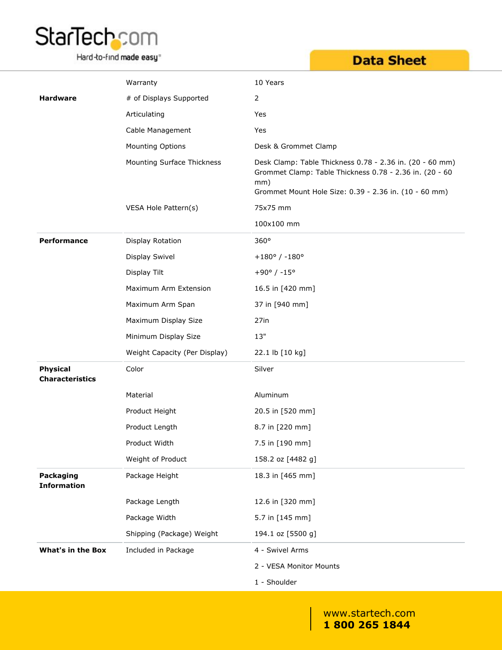# StarTech.com

Hard-to-find made easy<sup>®</sup>

# **Data Sheet**

|                                           | Warranty                      | 10 Years                                                                                                                                                                            |
|-------------------------------------------|-------------------------------|-------------------------------------------------------------------------------------------------------------------------------------------------------------------------------------|
| <b>Hardware</b>                           | # of Displays Supported       | $\overline{2}$                                                                                                                                                                      |
|                                           | Articulating                  | Yes                                                                                                                                                                                 |
|                                           | Cable Management              | Yes                                                                                                                                                                                 |
|                                           | Mounting Options              | Desk & Grommet Clamp                                                                                                                                                                |
|                                           | Mounting Surface Thickness    | Desk Clamp: Table Thickness 0.78 - 2.36 in. (20 - 60 mm)<br>Grommet Clamp: Table Thickness 0.78 - 2.36 in. (20 - 60<br>mm)<br>Grommet Mount Hole Size: 0.39 - 2.36 in. (10 - 60 mm) |
|                                           | VESA Hole Pattern(s)          | 75x75 mm                                                                                                                                                                            |
|                                           |                               | 100x100 mm                                                                                                                                                                          |
| Performance                               | Display Rotation              | 360°                                                                                                                                                                                |
|                                           | Display Swivel                | $+180^{\circ}$ / -180°                                                                                                                                                              |
|                                           | Display Tilt                  | $+90^{\circ}$ / -15°                                                                                                                                                                |
|                                           | Maximum Arm Extension         | 16.5 in [420 mm]                                                                                                                                                                    |
|                                           | Maximum Arm Span              | 37 in [940 mm]                                                                                                                                                                      |
|                                           | Maximum Display Size          | 27in                                                                                                                                                                                |
|                                           | Minimum Display Size          | $13"$                                                                                                                                                                               |
|                                           | Weight Capacity (Per Display) | 22.1 lb [10 kg]                                                                                                                                                                     |
| <b>Physical</b><br><b>Characteristics</b> | Color                         | Silver                                                                                                                                                                              |
|                                           | Material                      | Aluminum                                                                                                                                                                            |
|                                           | Product Height                | 20.5 in [520 mm]                                                                                                                                                                    |
|                                           | Product Length                | 8.7 in [220 mm]                                                                                                                                                                     |
|                                           | Product Width                 | 7.5 in [190 mm]                                                                                                                                                                     |
|                                           | Weight of Product             | 158.2 oz [4482 g]                                                                                                                                                                   |
| Packaging<br><b>Information</b>           | Package Height                | 18.3 in [465 mm]                                                                                                                                                                    |
|                                           | Package Length                | 12.6 in [320 mm]                                                                                                                                                                    |
|                                           | Package Width                 | 5.7 in [145 mm]                                                                                                                                                                     |
|                                           | Shipping (Package) Weight     | 194.1 oz [5500 g]                                                                                                                                                                   |
| <b>What's in the Box</b>                  | Included in Package           | 4 - Swivel Arms                                                                                                                                                                     |
|                                           |                               | 2 - VESA Monitor Mounts                                                                                                                                                             |
|                                           |                               | 1 - Shoulder                                                                                                                                                                        |